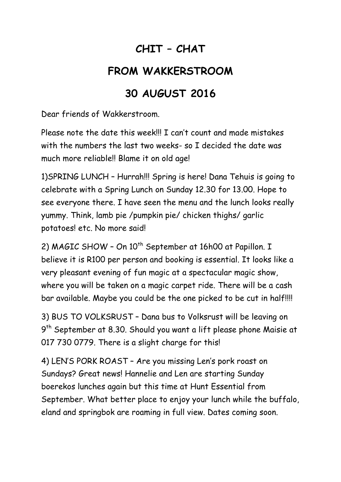## **CHIT – CHAT**

## **FROM WAKKERSTROOM**

## **30 AUGUST 2016**

Dear friends of Wakkerstroom.

Please note the date this week!!! I can't count and made mistakes with the numbers the last two weeks- so I decided the date was much more reliable!! Blame it on old age!

1)SPRING LUNCH – Hurrah!!! Spring is here! Dana Tehuis is going to celebrate with a Spring Lunch on Sunday 12.30 for 13.00. Hope to see everyone there. I have seen the menu and the lunch looks really yummy. Think, lamb pie /pumpkin pie/ chicken thighs/ garlic potatoes! etc. No more said!

2) MAGIC SHOW - On 10<sup>th</sup> September at 16h00 at Papillon. I believe it is R100 per person and booking is essential. It looks like a very pleasant evening of fun magic at a spectacular magic show, where you will be taken on a magic carpet ride. There will be a cash bar available. Maybe you could be the one picked to be cut in half!!!!

3) BUS TO VOLKSRUST – Dana bus to Volksrust will be leaving on 9<sup>th</sup> September at 8.30. Should you want a lift please phone Maisie at 017 730 0779. There is a slight charge for this!

4) LEN'S PORK ROAST – Are you missing Len's pork roast on Sundays? Great news! Hannelie and Len are starting Sunday boerekos lunches again but this time at Hunt Essential from September. What better place to enjoy your lunch while the buffalo, eland and springbok are roaming in full view. Dates coming soon.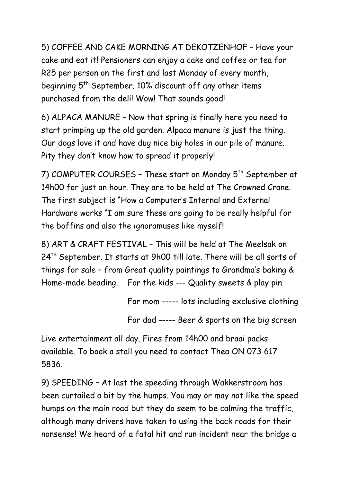5) COFFEE AND CAKE MORNING AT DEKOTZENHOF – Have your cake and eat it! Pensioners can enjoy a cake and coffee or tea for R25 per person on the first and last Monday of every month, beginning  $5<sup>th</sup>$  September. 10% discount off any other items purchased from the deli! Wow! That sounds good!

6) ALPACA MANURE – Now that spring is finally here you need to start primping up the old garden. Alpaca manure is just the thing. Our dogs love it and have dug nice big holes in our pile of manure. Pity they don't know how to spread it properly!

7) COMPUTER COURSES - These start on Monday 5<sup>th</sup> September at 14h00 for just an hour. They are to be held at The Crowned Crane. The first subject is "How a Computer's Internal and External Hardware works "I am sure these are going to be really helpful for the boffins and also the ignoramuses like myself!

8) ART & CRAFT FESTIVAL – This will be held at The Meelsak on 24<sup>th</sup> September. It starts at 9h00 till late. There will be all sorts of things for sale – from Great quality paintings to Grandma's baking & Home-made beading. For the kids --- Quality sweets & play pin

For mom ----- lots including exclusive clothing

For dad ----- Beer & sports on the big screen

Live entertainment all day. Fires from 14h00 and braai packs available. To book a stall you need to contact Thea ON 073 617 5836.

9) SPEEDING – At last the speeding through Wakkerstroom has been curtailed a bit by the humps. You may or may not like the speed humps on the main road but they do seem to be calming the traffic, although many drivers have taken to using the back roads for their nonsense! We heard of a fatal hit and run incident near the bridge a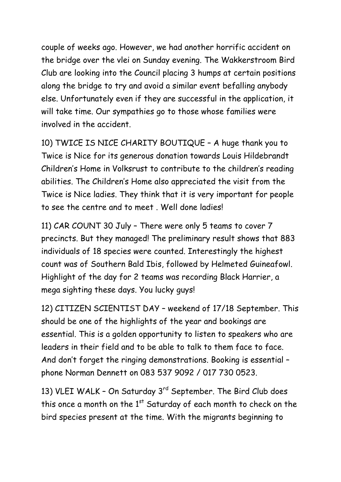couple of weeks ago. However, we had another horrific accident on the bridge over the vlei on Sunday evening. The Wakkerstroom Bird Club are looking into the Council placing 3 humps at certain positions along the bridge to try and avoid a similar event befalling anybody else. Unfortunately even if they are successful in the application, it will take time. Our sympathies go to those whose families were involved in the accident.

10) TWICE IS NICE CHARITY BOUTIQUE – A huge thank you to Twice is Nice for its generous donation towards Louis Hildebrandt Children's Home in Volksrust to contribute to the children's reading abilities. The Children's Home also appreciated the visit from the Twice is Nice ladies. They think that it is very important for people to see the centre and to meet . Well done ladies!

11) CAR COUNT 30 July – There were only 5 teams to cover 7 precincts. But they managed! The preliminary result shows that 883 individuals of 18 species were counted. Interestingly the highest count was of Southern Bald Ibis, followed by Helmeted Guineafowl. Highlight of the day for 2 teams was recording Black Harrier, a mega sighting these days. You lucky guys!

12) CITIZEN SCIENTIST DAY – weekend of 17/18 September. This should be one of the highlights of the year and bookings are essential. This is a golden opportunity to listen to speakers who are leaders in their field and to be able to talk to them face to face. And don't forget the ringing demonstrations. Booking is essential – phone Norman Dennett on 083 537 9092 / 017 730 0523.

13) VLEI WALK - On Saturday 3<sup>rd</sup> September. The Bird Club does this once a month on the  $1<sup>st</sup>$  Saturday of each month to check on the bird species present at the time. With the migrants beginning to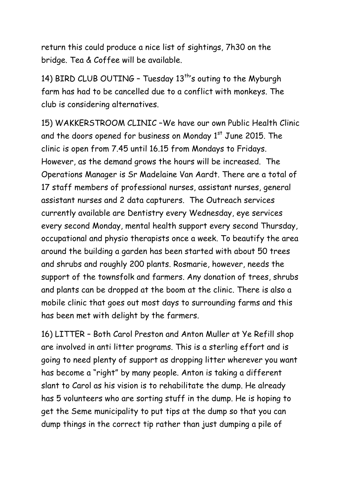return this could produce a nice list of sightings, 7h30 on the bridge. Tea & Coffee will be available.

14) BIRD CLUB OUTING - Tuesday 13<sup>th</sup>'s outing to the Myburgh farm has had to be cancelled due to a conflict with monkeys. The club is considering alternatives.

15) WAKKERSTROOM CLINIC –We have our own Public Health Clinic and the doors opened for business on Monday  $1<sup>st</sup>$  June 2015. The clinic is open from 7.45 until 16.15 from Mondays to Fridays. However, as the demand grows the hours will be increased. The Operations Manager is Sr Madelaine Van Aardt. There are a total of 17 staff members of professional nurses, assistant nurses, general assistant nurses and 2 data capturers. The Outreach services currently available are Dentistry every Wednesday, eye services every second Monday, mental health support every second Thursday, occupational and physio therapists once a week. To beautify the area around the building a garden has been started with about 50 trees and shrubs and roughly 200 plants. Rosmarie, however, needs the support of the townsfolk and farmers. Any donation of trees, shrubs and plants can be dropped at the boom at the clinic. There is also a mobile clinic that goes out most days to surrounding farms and this has been met with delight by the farmers.

16) LITTER – Both Carol Preston and Anton Muller at Ye Refill shop are involved in anti litter programs. This is a sterling effort and is going to need plenty of support as dropping litter wherever you want has become a "right" by many people. Anton is taking a different slant to Carol as his vision is to rehabilitate the dump. He already has 5 volunteers who are sorting stuff in the dump. He is hoping to get the Seme municipality to put tips at the dump so that you can dump things in the correct tip rather than just dumping a pile of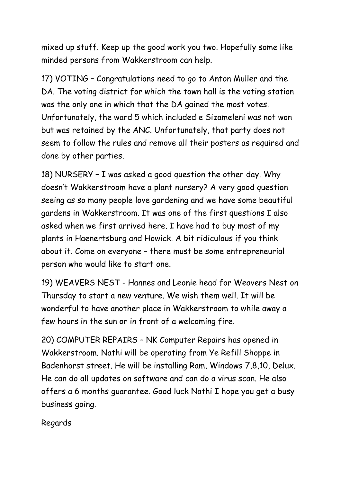mixed up stuff. Keep up the good work you two. Hopefully some like minded persons from Wakkerstroom can help.

17) VOTING – Congratulations need to go to Anton Muller and the DA. The voting district for which the town hall is the voting station was the only one in which that the DA gained the most votes. Unfortunately, the ward 5 which included e Sizameleni was not won but was retained by the ANC. Unfortunately, that party does not seem to follow the rules and remove all their posters as required and done by other parties.

18) NURSERY – I was asked a good question the other day. Why doesn't Wakkerstroom have a plant nursery? A very good question seeing as so many people love gardening and we have some beautiful gardens in Wakkerstroom. It was one of the first questions I also asked when we first arrived here. I have had to buy most of my plants in Haenertsburg and Howick. A bit ridiculous if you think about it. Come on everyone – there must be some entrepreneurial person who would like to start one.

19) WEAVERS NEST - Hannes and Leonie head for Weavers Nest on Thursday to start a new venture. We wish them well. It will be wonderful to have another place in Wakkerstroom to while away a few hours in the sun or in front of a welcoming fire.

20) COMPUTER REPAIRS – NK Computer Repairs has opened in Wakkerstroom. Nathi will be operating from Ye Refill Shoppe in Badenhorst street. He will be installing Ram, Windows 7,8,10, Delux. He can do all updates on software and can do a virus scan. He also offers a 6 months guarantee. Good luck Nathi I hope you get a busy business going.

Regards